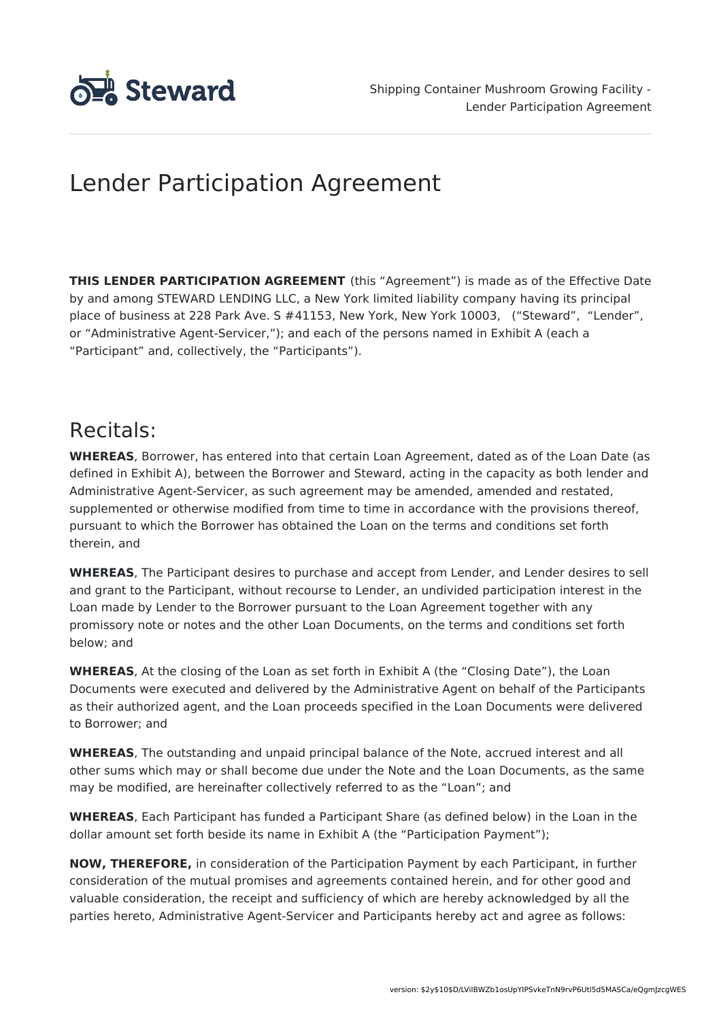

# Lender Participation Agreement

**THIS LENDER PARTICIPATION AGREEMENT** (this "Agreement") is made as of the Effective Date by and among STEWARD LENDING LLC, a New York limited liability company having its principal place of business at 228 Park Ave. S #41153, New York, New York 10003, ("Steward", "Lender", or "Administrative Agent-Servicer,"); and each of the persons named in Exhibit A (each a "Participant" and, collectively, the "Participants").

## Recitals:

**WHEREAS**, Borrower, has entered into that certain Loan Agreement, dated as of the Loan Date (as defined in Exhibit A), between the Borrower and Steward, acting in the capacity as both lender and Administrative Agent-Servicer, as such agreement may be amended, amended and restated, supplemented or otherwise modified from time to time in accordance with the provisions thereof, pursuant to which the Borrower has obtained the Loan on the terms and conditions set forth therein, and

**WHEREAS**, The Participant desires to purchase and accept from Lender, and Lender desires to sell and grant to the Participant, without recourse to Lender, an undivided participation interest in the Loan made by Lender to the Borrower pursuant to the Loan Agreement together with any promissory note or notes and the other Loan Documents, on the terms and conditions set forth below; and

**WHEREAS**, At the closing of the Loan as set forth in Exhibit A (the "Closing Date"), the Loan Documents were executed and delivered by the Administrative Agent on behalf of the Participants as their authorized agent, and the Loan proceeds specified in the Loan Documents were delivered to Borrower; and

**WHEREAS**, The outstanding and unpaid principal balance of the Note, accrued interest and all other sums which may or shall become due under the Note and the Loan Documents, as the same may be modified, are hereinafter collectively referred to as the "Loan"; and

**WHEREAS**, Each Participant has funded a Participant Share (as defined below) in the Loan in the dollar amount set forth beside its name in Exhibit A (the "Participation Payment");

**NOW, THEREFORE,** in consideration of the Participation Payment by each Participant, in further consideration of the mutual promises and agreements contained herein, and for other good and valuable consideration, the receipt and sufficiency of which are hereby acknowledged by all the parties hereto, Administrative Agent-Servicer and Participants hereby act and agree as follows: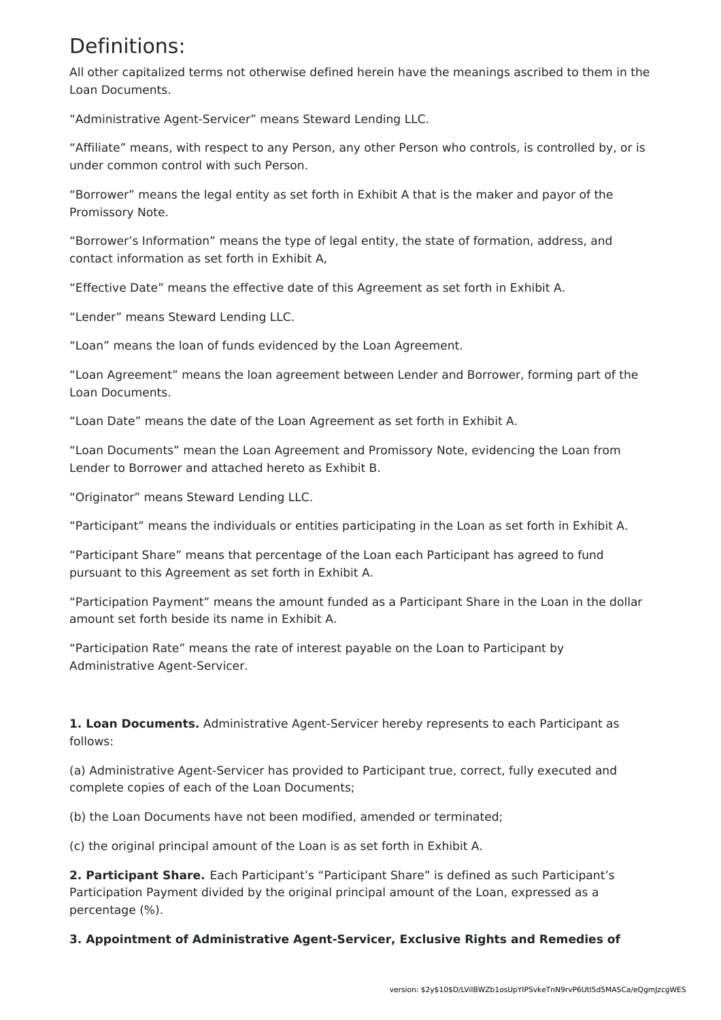### Definitions:

All other capitalized terms not otherwise defined herein have the meanings ascribed to them in the Loan Documents.

"Administrative Agent-Servicer" means Steward Lending LLC.

"Affiliate" means, with respect to any Person, any other Person who controls, is controlled by, or is under common control with such Person.

"Borrower" means the legal entity as set forth in Exhibit A that is the maker and payor of the Promissory Note.

"Borrower's Information" means the type of legal entity, the state of formation, address, and contact information as set forth in Exhibit A,

"Effective Date" means the effective date of this Agreement as set forth in Exhibit A.

"Lender" means Steward Lending LLC.

"Loan" means the loan of funds evidenced by the Loan Agreement.

"Loan Agreement" means the loan agreement between Lender and Borrower, forming part of the Loan Documents.

"Loan Date" means the date of the Loan Agreement as set forth in Exhibit A.

"Loan Documents" mean the Loan Agreement and Promissory Note, evidencing the Loan from Lender to Borrower and attached hereto as Exhibit B.

"Originator" means Steward Lending LLC.

"Participant" means the individuals or entities participating in the Loan as set forth in Exhibit A.

"Participant Share" means that percentage of the Loan each Participant has agreed to fund pursuant to this Agreement as set forth in Exhibit A.

"Participation Payment" means the amount funded as a Participant Share in the Loan in the dollar amount set forth beside its name in Exhibit A.

"Participation Rate" means the rate of interest payable on the Loan to Participant by Administrative Agent-Servicer.

**1. Loan Documents.** Administrative Agent-Servicer hereby represents to each Participant as follows:

(a) Administrative Agent-Servicer has provided to Participant true, correct, fully executed and complete copies of each of the Loan Documents;

(b) the Loan Documents have not been modified, amended or terminated;

(c) the original principal amount of the Loan is as set forth in Exhibit A.

**2. Participant Share.** Each Participant's "Participant Share" is defined as such Participant's Participation Payment divided by the original principal amount of the Loan, expressed as a percentage (%).

**3. Appointment of Administrative Agent-Servicer, Exclusive Rights and Remedies of**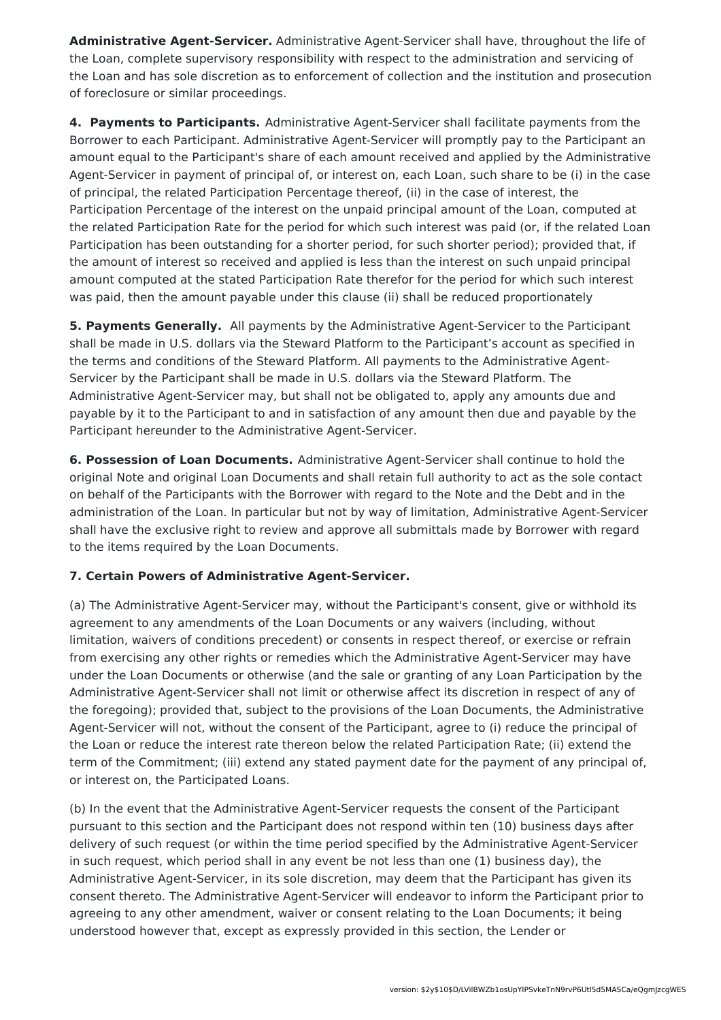**Administrative Agent-Servicer.** Administrative Agent-Servicer shall have, throughout the life of the Loan, complete supervisory responsibility with respect to the administration and servicing of the Loan and has sole discretion as to enforcement of collection and the institution and prosecution of foreclosure or similar proceedings.

**4. Payments to Participants.** Administrative Agent-Servicer shall facilitate payments from the Borrower to each Participant. Administrative Agent-Servicer will promptly pay to the Participant an amount equal to the Participant's share of each amount received and applied by the Administrative Agent-Servicer in payment of principal of, or interest on, each Loan, such share to be (i) in the case of principal, the related Participation Percentage thereof, (ii) in the case of interest, the Participation Percentage of the interest on the unpaid principal amount of the Loan, computed at the related Participation Rate for the period for which such interest was paid (or, if the related Loan Participation has been outstanding for a shorter period, for such shorter period); provided that, if the amount of interest so received and applied is less than the interest on such unpaid principal amount computed at the stated Participation Rate therefor for the period for which such interest was paid, then the amount payable under this clause (ii) shall be reduced proportionately

**5. Payments Generally.** All payments by the Administrative Agent-Servicer to the Participant shall be made in U.S. dollars via the Steward Platform to the Participant's account as specified in the terms and conditions of the Steward Platform. All payments to the Administrative Agent-Servicer by the Participant shall be made in U.S. dollars via the Steward Platform. The Administrative Agent-Servicer may, but shall not be obligated to, apply any amounts due and payable by it to the Participant to and in satisfaction of any amount then due and payable by the Participant hereunder to the Administrative Agent-Servicer.

**6. Possession of Loan Documents.** Administrative Agent-Servicer shall continue to hold the original Note and original Loan Documents and shall retain full authority to act as the sole contact on behalf of the Participants with the Borrower with regard to the Note and the Debt and in the administration of the Loan. In particular but not by way of limitation, Administrative Agent-Servicer shall have the exclusive right to review and approve all submittals made by Borrower with regard to the items required by the Loan Documents.

#### **7. Certain Powers of Administrative Agent-Servicer.**

(a) The Administrative Agent-Servicer may, without the Participant's consent, give or withhold its agreement to any amendments of the Loan Documents or any waivers (including, without limitation, waivers of conditions precedent) or consents in respect thereof, or exercise or refrain from exercising any other rights or remedies which the Administrative Agent-Servicer may have under the Loan Documents or otherwise (and the sale or granting of any Loan Participation by the Administrative Agent-Servicer shall not limit or otherwise affect its discretion in respect of any of the foregoing); provided that, subject to the provisions of the Loan Documents, the Administrative Agent-Servicer will not, without the consent of the Participant, agree to (i) reduce the principal of the Loan or reduce the interest rate thereon below the related Participation Rate; (ii) extend the term of the Commitment; (iii) extend any stated payment date for the payment of any principal of, or interest on, the Participated Loans.

(b) In the event that the Administrative Agent-Servicer requests the consent of the Participant pursuant to this section and the Participant does not respond within ten (10) business days after delivery of such request (or within the time period specified by the Administrative Agent-Servicer in such request, which period shall in any event be not less than one (1) business day), the Administrative Agent-Servicer, in its sole discretion, may deem that the Participant has given its consent thereto. The Administrative Agent-Servicer will endeavor to inform the Participant prior to agreeing to any other amendment, waiver or consent relating to the Loan Documents; it being understood however that, except as expressly provided in this section, the Lender or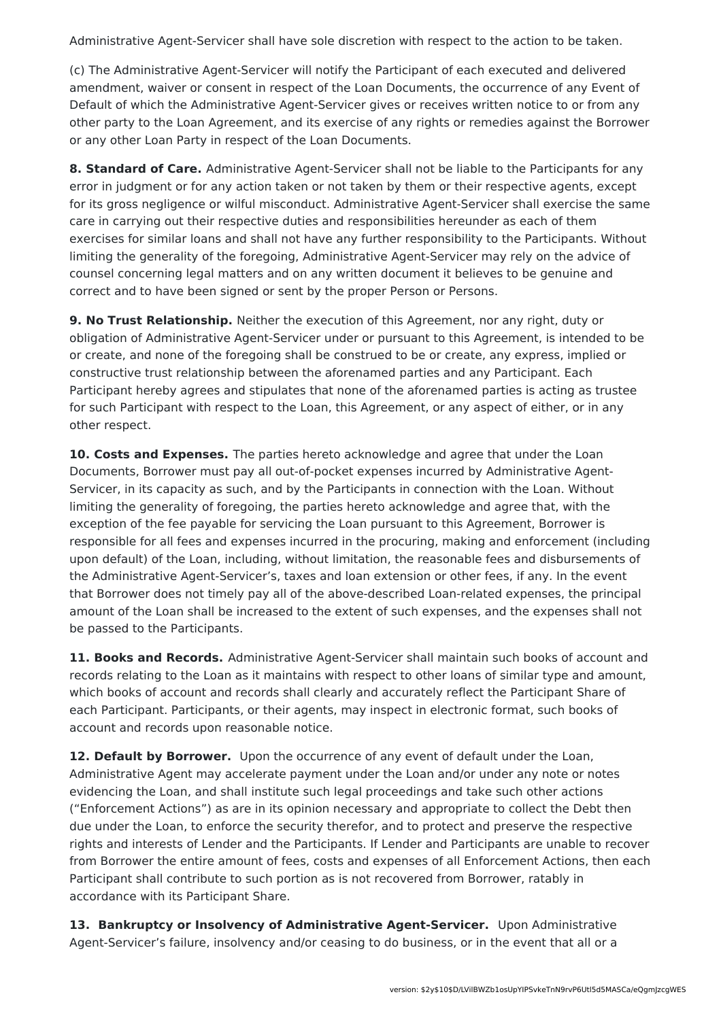Administrative Agent-Servicer shall have sole discretion with respect to the action to be taken.

(c) The Administrative Agent-Servicer will notify the Participant of each executed and delivered amendment, waiver or consent in respect of the Loan Documents, the occurrence of any Event of Default of which the Administrative Agent-Servicer gives or receives written notice to or from any other party to the Loan Agreement, and its exercise of any rights or remedies against the Borrower or any other Loan Party in respect of the Loan Documents.

**8. Standard of Care.** Administrative Agent-Servicer shall not be liable to the Participants for any error in judgment or for any action taken or not taken by them or their respective agents, except for its gross negligence or wilful misconduct. Administrative Agent-Servicer shall exercise the same care in carrying out their respective duties and responsibilities hereunder as each of them exercises for similar loans and shall not have any further responsibility to the Participants. Without limiting the generality of the foregoing, Administrative Agent-Servicer may rely on the advice of counsel concerning legal matters and on any written document it believes to be genuine and correct and to have been signed or sent by the proper Person or Persons.

**9. No Trust Relationship.** Neither the execution of this Agreement, nor any right, duty or obligation of Administrative Agent-Servicer under or pursuant to this Agreement, is intended to be or create, and none of the foregoing shall be construed to be or create, any express, implied or constructive trust relationship between the aforenamed parties and any Participant. Each Participant hereby agrees and stipulates that none of the aforenamed parties is acting as trustee for such Participant with respect to the Loan, this Agreement, or any aspect of either, or in any other respect.

**10. Costs and Expenses.** The parties hereto acknowledge and agree that under the Loan Documents, Borrower must pay all out-of-pocket expenses incurred by Administrative Agent-Servicer, in its capacity as such, and by the Participants in connection with the Loan. Without limiting the generality of foregoing, the parties hereto acknowledge and agree that, with the exception of the fee payable for servicing the Loan pursuant to this Agreement, Borrower is responsible for all fees and expenses incurred in the procuring, making and enforcement (including upon default) of the Loan, including, without limitation, the reasonable fees and disbursements of the Administrative Agent-Servicer's, taxes and loan extension or other fees, if any. In the event that Borrower does not timely pay all of the above-described Loan-related expenses, the principal amount of the Loan shall be increased to the extent of such expenses, and the expenses shall not be passed to the Participants.

**11. Books and Records.** Administrative Agent-Servicer shall maintain such books of account and records relating to the Loan as it maintains with respect to other loans of similar type and amount, which books of account and records shall clearly and accurately reflect the Participant Share of each Participant. Participants, or their agents, may inspect in electronic format, such books of account and records upon reasonable notice.

**12. Default by Borrower.** Upon the occurrence of any event of default under the Loan, Administrative Agent may accelerate payment under the Loan and/or under any note or notes evidencing the Loan, and shall institute such legal proceedings and take such other actions ("Enforcement Actions") as are in its opinion necessary and appropriate to collect the Debt then due under the Loan, to enforce the security therefor, and to protect and preserve the respective rights and interests of Lender and the Participants. If Lender and Participants are unable to recover from Borrower the entire amount of fees, costs and expenses of all Enforcement Actions, then each Participant shall contribute to such portion as is not recovered from Borrower, ratably in accordance with its Participant Share.

**13. Bankruptcy or Insolvency of Administrative Agent-Servicer.** Upon Administrative Agent-Servicer's failure, insolvency and/or ceasing to do business, or in the event that all or a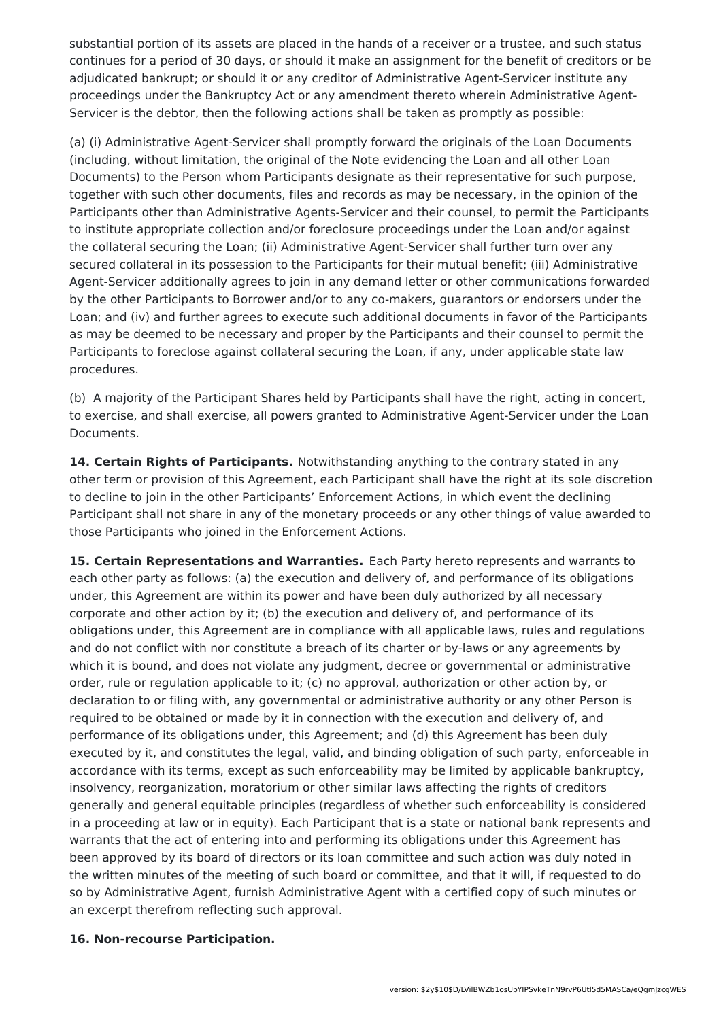substantial portion of its assets are placed in the hands of a receiver or a trustee, and such status continues for a period of 30 days, or should it make an assignment for the benefit of creditors or be adjudicated bankrupt; or should it or any creditor of Administrative Agent-Servicer institute any proceedings under the Bankruptcy Act or any amendment thereto wherein Administrative Agent-Servicer is the debtor, then the following actions shall be taken as promptly as possible:

(a) (i) Administrative Agent-Servicer shall promptly forward the originals of the Loan Documents (including, without limitation, the original of the Note evidencing the Loan and all other Loan Documents) to the Person whom Participants designate as their representative for such purpose, together with such other documents, files and records as may be necessary, in the opinion of the Participants other than Administrative Agents-Servicer and their counsel, to permit the Participants to institute appropriate collection and/or foreclosure proceedings under the Loan and/or against the collateral securing the Loan; (ii) Administrative Agent-Servicer shall further turn over any secured collateral in its possession to the Participants for their mutual benefit; (iii) Administrative Agent-Servicer additionally agrees to join in any demand letter or other communications forwarded by the other Participants to Borrower and/or to any co-makers, guarantors or endorsers under the Loan; and (iv) and further agrees to execute such additional documents in favor of the Participants as may be deemed to be necessary and proper by the Participants and their counsel to permit the Participants to foreclose against collateral securing the Loan, if any, under applicable state law procedures.

(b) A majority of the Participant Shares held by Participants shall have the right, acting in concert, to exercise, and shall exercise, all powers granted to Administrative Agent-Servicer under the Loan Documents.

**14. Certain Rights of Participants.** Notwithstanding anything to the contrary stated in any other term or provision of this Agreement, each Participant shall have the right at its sole discretion to decline to join in the other Participants' Enforcement Actions, in which event the declining Participant shall not share in any of the monetary proceeds or any other things of value awarded to those Participants who joined in the Enforcement Actions.

**15. Certain Representations and Warranties.** Each Party hereto represents and warrants to each other party as follows: (a) the execution and delivery of, and performance of its obligations under, this Agreement are within its power and have been duly authorized by all necessary corporate and other action by it; (b) the execution and delivery of, and performance of its obligations under, this Agreement are in compliance with all applicable laws, rules and regulations and do not conflict with nor constitute a breach of its charter or by-laws or any agreements by which it is bound, and does not violate any judgment, decree or governmental or administrative order, rule or regulation applicable to it; (c) no approval, authorization or other action by, or declaration to or filing with, any governmental or administrative authority or any other Person is required to be obtained or made by it in connection with the execution and delivery of, and performance of its obligations under, this Agreement; and (d) this Agreement has been duly executed by it, and constitutes the legal, valid, and binding obligation of such party, enforceable in accordance with its terms, except as such enforceability may be limited by applicable bankruptcy, insolvency, reorganization, moratorium or other similar laws affecting the rights of creditors generally and general equitable principles (regardless of whether such enforceability is considered in a proceeding at law or in equity). Each Participant that is a state or national bank represents and warrants that the act of entering into and performing its obligations under this Agreement has been approved by its board of directors or its loan committee and such action was duly noted in the written minutes of the meeting of such board or committee, and that it will, if requested to do so by Administrative Agent, furnish Administrative Agent with a certified copy of such minutes or an excerpt therefrom reflecting such approval.

#### **16. Non-recourse Participation.**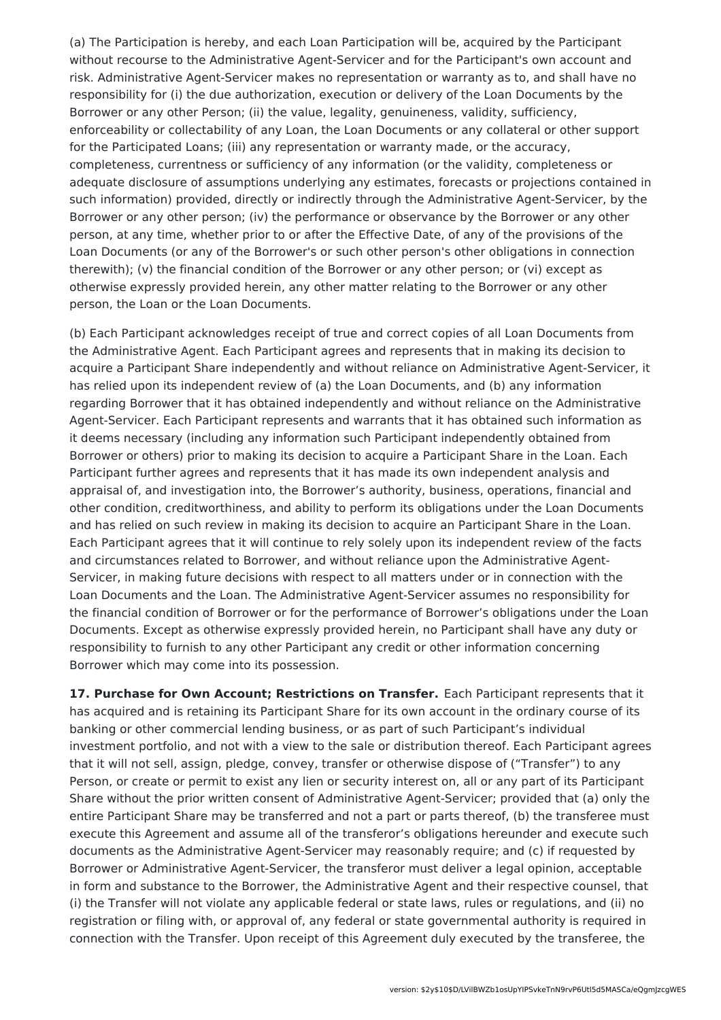(a) The Participation is hereby, and each Loan Participation will be, acquired by the Participant without recourse to the Administrative Agent-Servicer and for the Participant's own account and risk. Administrative Agent-Servicer makes no representation or warranty as to, and shall have no responsibility for (i) the due authorization, execution or delivery of the Loan Documents by the Borrower or any other Person; (ii) the value, legality, genuineness, validity, sufficiency, enforceability or collectability of any Loan, the Loan Documents or any collateral or other support for the Participated Loans; (iii) any representation or warranty made, or the accuracy, completeness, currentness or sufficiency of any information (or the validity, completeness or adequate disclosure of assumptions underlying any estimates, forecasts or projections contained in such information) provided, directly or indirectly through the Administrative Agent-Servicer, by the Borrower or any other person; (iv) the performance or observance by the Borrower or any other person, at any time, whether prior to or after the Effective Date, of any of the provisions of the Loan Documents (or any of the Borrower's or such other person's other obligations in connection therewith); (v) the financial condition of the Borrower or any other person; or (vi) except as otherwise expressly provided herein, any other matter relating to the Borrower or any other person, the Loan or the Loan Documents.

(b) Each Participant acknowledges receipt of true and correct copies of all Loan Documents from the Administrative Agent. Each Participant agrees and represents that in making its decision to acquire a Participant Share independently and without reliance on Administrative Agent-Servicer, it has relied upon its independent review of (a) the Loan Documents, and (b) any information regarding Borrower that it has obtained independently and without reliance on the Administrative Agent-Servicer. Each Participant represents and warrants that it has obtained such information as it deems necessary (including any information such Participant independently obtained from Borrower or others) prior to making its decision to acquire a Participant Share in the Loan. Each Participant further agrees and represents that it has made its own independent analysis and appraisal of, and investigation into, the Borrower's authority, business, operations, financial and other condition, creditworthiness, and ability to perform its obligations under the Loan Documents and has relied on such review in making its decision to acquire an Participant Share in the Loan. Each Participant agrees that it will continue to rely solely upon its independent review of the facts and circumstances related to Borrower, and without reliance upon the Administrative Agent-Servicer, in making future decisions with respect to all matters under or in connection with the Loan Documents and the Loan. The Administrative Agent-Servicer assumes no responsibility for the financial condition of Borrower or for the performance of Borrower's obligations under the Loan Documents. Except as otherwise expressly provided herein, no Participant shall have any duty or responsibility to furnish to any other Participant any credit or other information concerning Borrower which may come into its possession.

**17. Purchase for Own Account; Restrictions on Transfer.** Each Participant represents that it has acquired and is retaining its Participant Share for its own account in the ordinary course of its banking or other commercial lending business, or as part of such Participant's individual investment portfolio, and not with a view to the sale or distribution thereof. Each Participant agrees that it will not sell, assign, pledge, convey, transfer or otherwise dispose of ("Transfer") to any Person, or create or permit to exist any lien or security interest on, all or any part of its Participant Share without the prior written consent of Administrative Agent-Servicer; provided that (a) only the entire Participant Share may be transferred and not a part or parts thereof, (b) the transferee must execute this Agreement and assume all of the transferor's obligations hereunder and execute such documents as the Administrative Agent-Servicer may reasonably require; and (c) if requested by Borrower or Administrative Agent-Servicer, the transferor must deliver a legal opinion, acceptable in form and substance to the Borrower, the Administrative Agent and their respective counsel, that (i) the Transfer will not violate any applicable federal or state laws, rules or regulations, and (ii) no registration or filing with, or approval of, any federal or state governmental authority is required in connection with the Transfer. Upon receipt of this Agreement duly executed by the transferee, the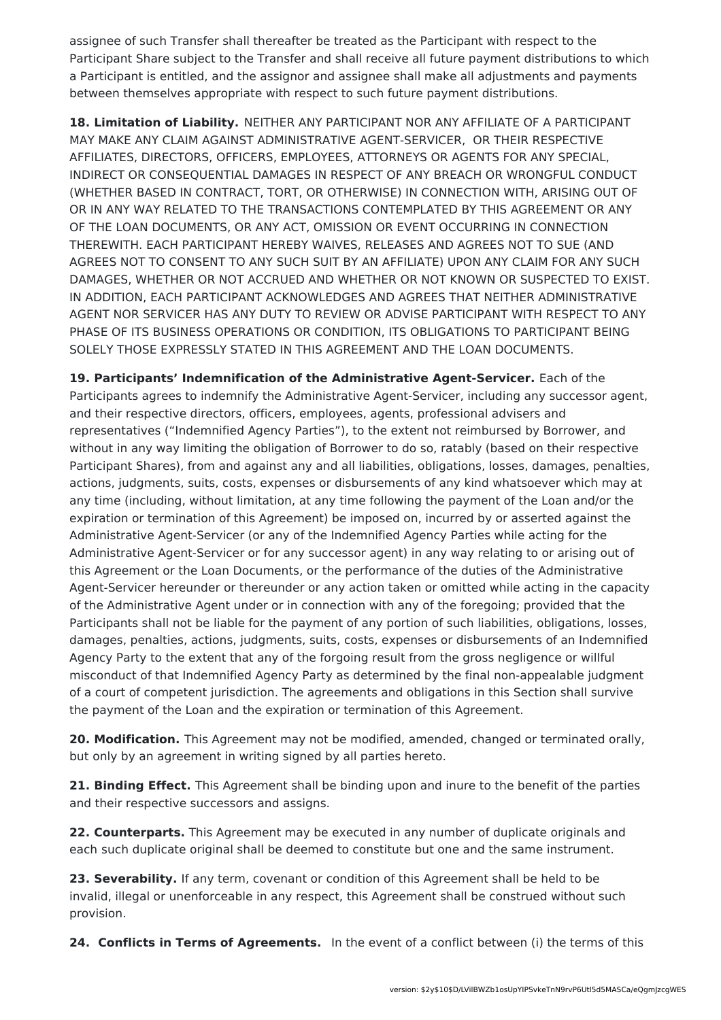assignee of such Transfer shall thereafter be treated as the Participant with respect to the Participant Share subject to the Transfer and shall receive all future payment distributions to which a Participant is entitled, and the assignor and assignee shall make all adjustments and payments between themselves appropriate with respect to such future payment distributions.

**18. Limitation of Liability.** NEITHER ANY PARTICIPANT NOR ANY AFFILIATE OF A PARTICIPANT MAY MAKE ANY CLAIM AGAINST ADMINISTRATIVE AGENT-SERVICER, OR THEIR RESPECTIVE AFFILIATES, DIRECTORS, OFFICERS, EMPLOYEES, ATTORNEYS OR AGENTS FOR ANY SPECIAL, INDIRECT OR CONSEQUENTIAL DAMAGES IN RESPECT OF ANY BREACH OR WRONGFUL CONDUCT (WHETHER BASED IN CONTRACT, TORT, OR OTHERWISE) IN CONNECTION WITH, ARISING OUT OF OR IN ANY WAY RELATED TO THE TRANSACTIONS CONTEMPLATED BY THIS AGREEMENT OR ANY OF THE LOAN DOCUMENTS, OR ANY ACT, OMISSION OR EVENT OCCURRING IN CONNECTION THEREWITH. EACH PARTICIPANT HEREBY WAIVES, RELEASES AND AGREES NOT TO SUE (AND AGREES NOT TO CONSENT TO ANY SUCH SUIT BY AN AFFILIATE) UPON ANY CLAIM FOR ANY SUCH DAMAGES, WHETHER OR NOT ACCRUED AND WHETHER OR NOT KNOWN OR SUSPECTED TO EXIST. IN ADDITION, EACH PARTICIPANT ACKNOWLEDGES AND AGREES THAT NEITHER ADMINISTRATIVE AGENT NOR SERVICER HAS ANY DUTY TO REVIEW OR ADVISE PARTICIPANT WITH RESPECT TO ANY PHASE OF ITS BUSINESS OPERATIONS OR CONDITION, ITS OBLIGATIONS TO PARTICIPANT BEING SOLELY THOSE EXPRESSLY STATED IN THIS AGREEMENT AND THE LOAN DOCUMENTS.

**19. Participants' Indemnification of the Administrative Agent-Servicer.** Each of the Participants agrees to indemnify the Administrative Agent-Servicer, including any successor agent, and their respective directors, officers, employees, agents, professional advisers and representatives ("Indemnified Agency Parties"), to the extent not reimbursed by Borrower, and without in any way limiting the obligation of Borrower to do so, ratably (based on their respective Participant Shares), from and against any and all liabilities, obligations, losses, damages, penalties, actions, judgments, suits, costs, expenses or disbursements of any kind whatsoever which may at any time (including, without limitation, at any time following the payment of the Loan and/or the expiration or termination of this Agreement) be imposed on, incurred by or asserted against the Administrative Agent-Servicer (or any of the Indemnified Agency Parties while acting for the Administrative Agent-Servicer or for any successor agent) in any way relating to or arising out of this Agreement or the Loan Documents, or the performance of the duties of the Administrative Agent-Servicer hereunder or thereunder or any action taken or omitted while acting in the capacity of the Administrative Agent under or in connection with any of the foregoing; provided that the Participants shall not be liable for the payment of any portion of such liabilities, obligations, losses, damages, penalties, actions, judgments, suits, costs, expenses or disbursements of an Indemnified Agency Party to the extent that any of the forgoing result from the gross negligence or willful misconduct of that Indemnified Agency Party as determined by the final non-appealable judgment of a court of competent jurisdiction. The agreements and obligations in this Section shall survive the payment of the Loan and the expiration or termination of this Agreement.

**20. Modification.** This Agreement may not be modified, amended, changed or terminated orally, but only by an agreement in writing signed by all parties hereto.

**21. Binding Effect.** This Agreement shall be binding upon and inure to the benefit of the parties and their respective successors and assigns.

**22. Counterparts.** This Agreement may be executed in any number of duplicate originals and each such duplicate original shall be deemed to constitute but one and the same instrument.

**23. Severability.** If any term, covenant or condition of this Agreement shall be held to be invalid, illegal or unenforceable in any respect, this Agreement shall be construed without such provision.

**24. Conflicts in Terms of Agreements.** In the event of a conflict between (i) the terms of this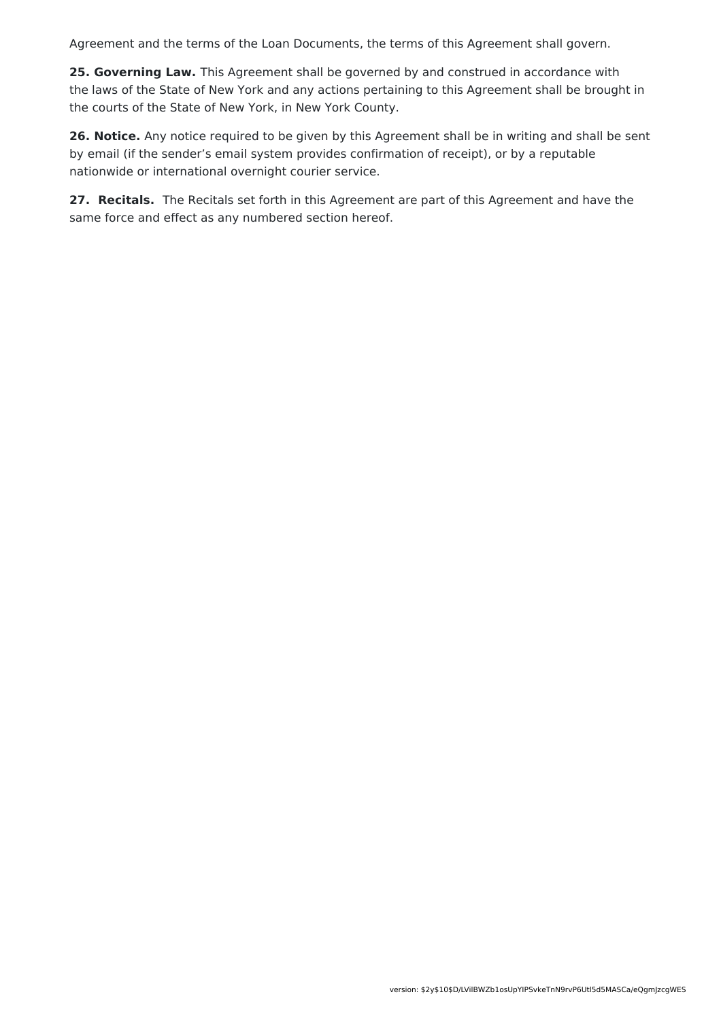Agreement and the terms of the Loan Documents, the terms of this Agreement shall govern.

**25. Governing Law.** This Agreement shall be governed by and construed in accordance with the laws of the State of New York and any actions pertaining to this Agreement shall be brought in the courts of the State of New York, in New York County.

**26. Notice.** Any notice required to be given by this Agreement shall be in writing and shall be sent by email (if the sender's email system provides confirmation of receipt), or by a reputable nationwide or international overnight courier service.

**27. Recitals.** The Recitals set forth in this Agreement are part of this Agreement and have the same force and effect as any numbered section hereof.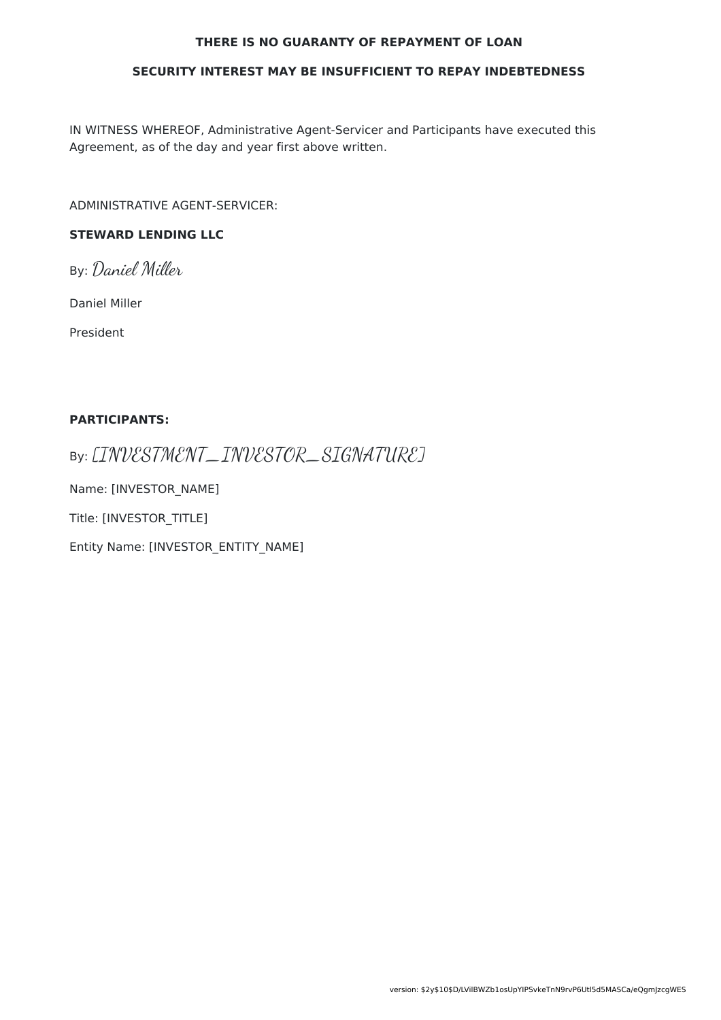#### **THERE IS NO GUARANTY OF REPAYMENT OF LOAN**

#### **SECURITY INTEREST MAY BE INSUFFICIENT TO REPAY INDEBTEDNESS**

IN WITNESS WHEREOF, Administrative Agent-Servicer and Participants have executed this Agreement, as of the day and year first above written.

ADMINISTRATIVE AGENT-SERVICER:

### **STEWARD LENDING LLC**

By: Daniel Miller

Daniel Miller

President

#### **PARTICIPANTS:**

By: [INVESTMENT\_INVESTOR\_SIGNATURE]

Name: [INVESTOR\_NAME]

Title: [INVESTOR\_TITLE]

Entity Name: [INVESTOR\_ENTITY\_NAME]